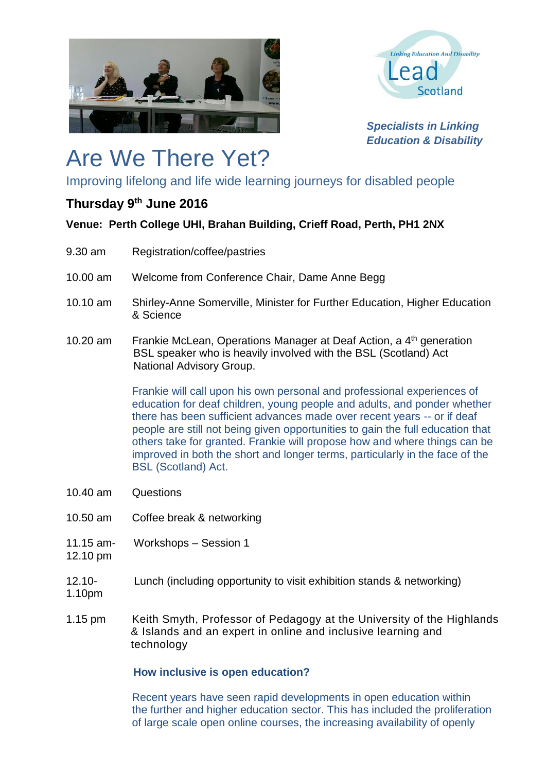



*Specialists in Linking Education & Disability* 

# Are We There Yet?

Improving lifelong and life wide learning journeys for disabled people

## **Thursday 9th June 2016**

### **Venue: Perth College UHI, Brahan Building, Crieff Road, Perth, PH1 2NX**

- 9.30 am Registration/coffee/pastries
- 10.00 am Welcome from Conference Chair, Dame Anne Begg
- 10.10 am Shirley-Anne Somerville, Minister for Further Education, Higher Education & Science
- 10.20 am Frankie McLean, Operations Manager at Deaf Action, a 4<sup>th</sup> generation BSL speaker who is heavily involved with the BSL (Scotland) Act National Advisory Group.

Frankie will call upon his own personal and professional experiences of education for deaf children, young people and adults, and ponder whether there has been sufficient advances made over recent years -- or if deaf people are still not being given opportunities to gain the full education that others take for granted. Frankie will propose how and where things can be improved in both the short and longer terms, particularly in the face of the BSL (Scotland) Act.

- 10.40 am Questions
- 10.50 am Coffee break & networking
- 11.15 am- Workshops Session 1
- 12.10 pm
- 12.10- Lunch (including opportunity to visit exhibition stands & networking)
- 1.10pm
- 1.15 pm Keith Smyth, Professor of Pedagogy at the University of the Highlands & Islands and an expert in online and inclusive learning and technology

#### **How inclusive is open education?**

Recent years have seen rapid developments in open education within the further and higher education sector. This has included the proliferation of large scale open online courses, the increasing availability of openly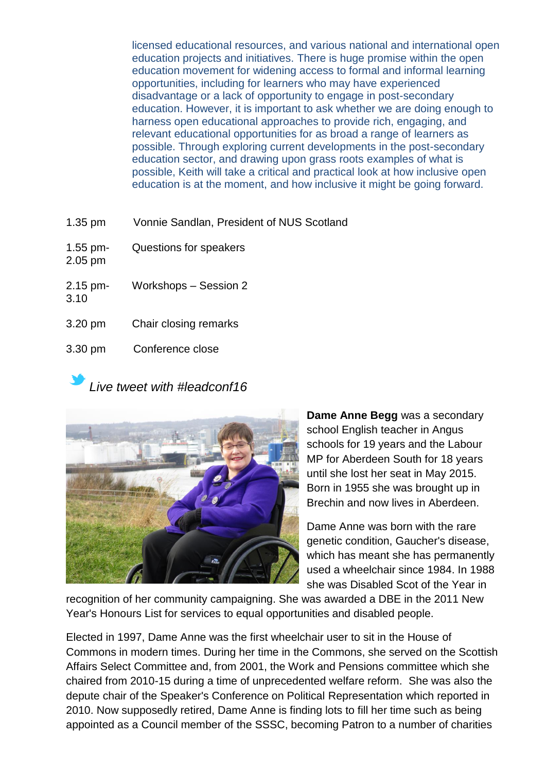licensed educational resources, and various national and international open education projects and initiatives. There is huge promise within the open education movement for widening access to formal and informal learning opportunities, including for learners who may have experienced disadvantage or a lack of opportunity to engage in post-secondary education. However, it is important to ask whether we are doing enough to harness open educational approaches to provide rich, engaging, and relevant educational opportunities for as broad a range of learners as possible. Through exploring current developments in the post-secondary education sector, and drawing upon grass roots examples of what is possible, Keith will take a critical and practical look at how inclusive open education is at the moment, and how inclusive it might be going forward.

- 1.35 pm Vonnie Sandlan, President of NUS Scotland
- 1.55 pm- Questions for speakers
- 2.15 pm- Workshops Session 2
- 3.10

2.05 pm

- 3.20 pm Chair closing remarks
- 3.30 pm Conference close

## *Live tweet with #leadconf16*



**Dame Anne Begg** was a secondary school English teacher in Angus schools for 19 years and the Labour MP for Aberdeen South for 18 years until she lost her seat in May 2015. Born in 1955 she was brought up in Brechin and now lives in Aberdeen.

Dame Anne was born with the rare genetic condition, Gaucher's disease, which has meant she has permanently used a wheelchair since 1984. In 1988 she was Disabled Scot of the Year in

recognition of her community campaigning. She was awarded a DBE in the 2011 New Year's Honours List for services to equal opportunities and disabled people.

Elected in 1997, Dame Anne was the first wheelchair user to sit in the House of Commons in modern times. During her time in the Commons, she served on the Scottish Affairs Select Committee and, from 2001, the Work and Pensions committee which she chaired from 2010-15 during a time of unprecedented welfare reform. She was also the depute chair of the Speaker's Conference on Political Representation which reported in 2010. Now supposedly retired, Dame Anne is finding lots to fill her time such as being appointed as a Council member of the SSSC, becoming Patron to a number of charities